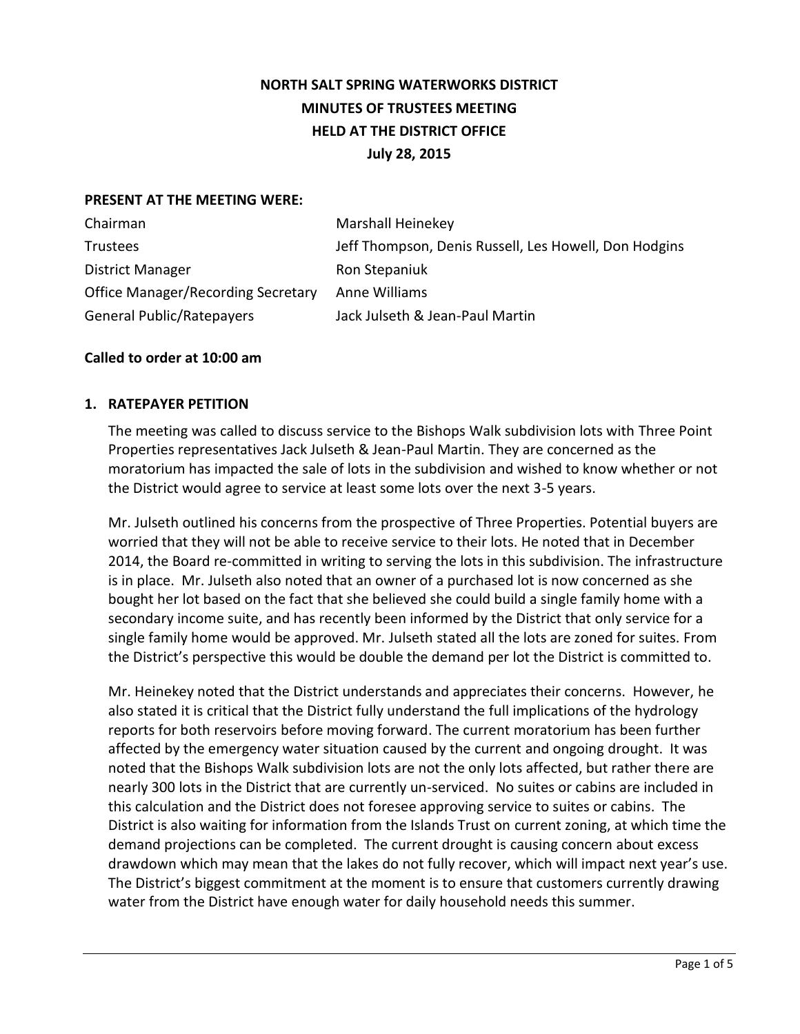# **NORTH SALT SPRING WATERWORKS DISTRICT MINUTES OF TRUSTEES MEETING HELD AT THE DISTRICT OFFICE July 28, 2015**

## **PRESENT AT THE MEETING WERE:**

| Chairman                                  | Marshall Heinekey                                     |
|-------------------------------------------|-------------------------------------------------------|
| Trustees                                  | Jeff Thompson, Denis Russell, Les Howell, Don Hodgins |
| District Manager                          | Ron Stepaniuk                                         |
| <b>Office Manager/Recording Secretary</b> | Anne Williams                                         |
| <b>General Public/Ratepayers</b>          | Jack Julseth & Jean-Paul Martin                       |

## **Called to order at 10:00 am**

## **1. RATEPAYER PETITION**

The meeting was called to discuss service to the Bishops Walk subdivision lots with Three Point Properties representatives Jack Julseth & Jean-Paul Martin. They are concerned as the moratorium has impacted the sale of lots in the subdivision and wished to know whether or not the District would agree to service at least some lots over the next 3-5 years.

Mr. Julseth outlined his concerns from the prospective of Three Properties. Potential buyers are worried that they will not be able to receive service to their lots. He noted that in December 2014, the Board re-committed in writing to serving the lots in this subdivision. The infrastructure is in place. Mr. Julseth also noted that an owner of a purchased lot is now concerned as she bought her lot based on the fact that she believed she could build a single family home with a secondary income suite, and has recently been informed by the District that only service for a single family home would be approved. Mr. Julseth stated all the lots are zoned for suites. From the District's perspective this would be double the demand per lot the District is committed to.

Mr. Heinekey noted that the District understands and appreciates their concerns. However, he also stated it is critical that the District fully understand the full implications of the hydrology reports for both reservoirs before moving forward. The current moratorium has been further affected by the emergency water situation caused by the current and ongoing drought. It was noted that the Bishops Walk subdivision lots are not the only lots affected, but rather there are nearly 300 lots in the District that are currently un-serviced. No suites or cabins are included in this calculation and the District does not foresee approving service to suites or cabins. The District is also waiting for information from the Islands Trust on current zoning, at which time the demand projections can be completed. The current drought is causing concern about excess drawdown which may mean that the lakes do not fully recover, which will impact next year's use. The District's biggest commitment at the moment is to ensure that customers currently drawing water from the District have enough water for daily household needs this summer.